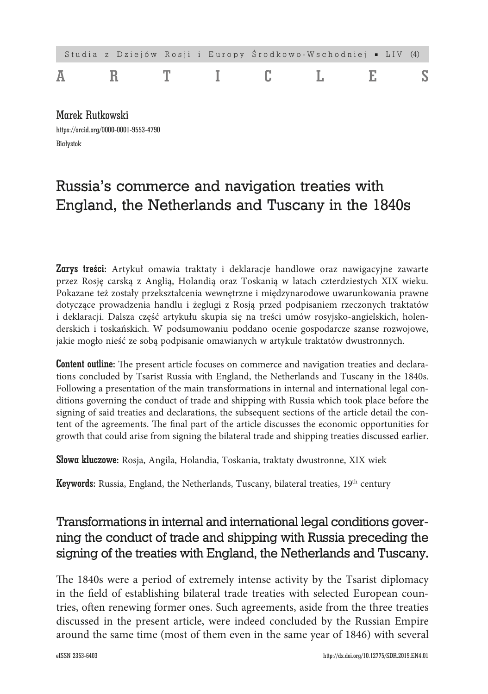

Marek Rutkowski https://orcid.org/0000-0001-9553-4790 Białystok

# Russia's commerce and navigation treaties with England, the Netherlands and Tuscany in the 1840s

Zarys treści: Artykuł omawia traktaty i deklaracje handlowe oraz nawigacyjne zawarte przez Rosję carską z Anglią, Holandią oraz Toskanią w latach czterdziestych XIX wieku. Pokazane też zostały przekształcenia wewnętrzne i międzynarodowe uwarunkowania prawne dotyczące prowadzenia handlu i żeglugi z Rosją przed podpisaniem rzeczonych traktatów i deklaracji. Dalsza część artykułu skupia się na treści umów rosyjsko-angielskich, holenderskich i toskańskich. W podsumowaniu poddano ocenie gospodarcze szanse rozwojowe, jakie mogło nieść ze sobą podpisanie omawianych w artykule traktatów dwustronnych.

**Content outline:** The present article focuses on commerce and navigation treaties and declarations concluded by Tsarist Russia with England, the Netherlands and Tuscany in the 1840s. Following a presentation of the main transformations in internal and international legal conditions governing the conduct of trade and shipping with Russia which took place before the signing of said treaties and declarations, the subsequent sections of the article detail the content of the agreements. The final part of the article discusses the economic opportunities for growth that could arise from signing the bilateral trade and shipping treaties discussed earlier.

Słowa kluczowe: Rosja, Angila, Holandia, Toskania, traktaty dwustronne, XIX wiek

Keywords: Russia, England, the Netherlands, Tuscany, bilateral treaties, 19<sup>th</sup> century

# Transformations in internal and international legal conditions governing the conduct of trade and shipping with Russia preceding the signing of the treaties with England, the Netherlands and Tuscany.

The 1840s were a period of extremely intense activity by the Tsarist diplomacy in the field of establishing bilateral trade treaties with selected European countries, often renewing former ones. Such agreements, aside from the three treaties discussed in the present article, were indeed concluded by the Russian Empire around the same time (most of them even in the same year of 1846) with several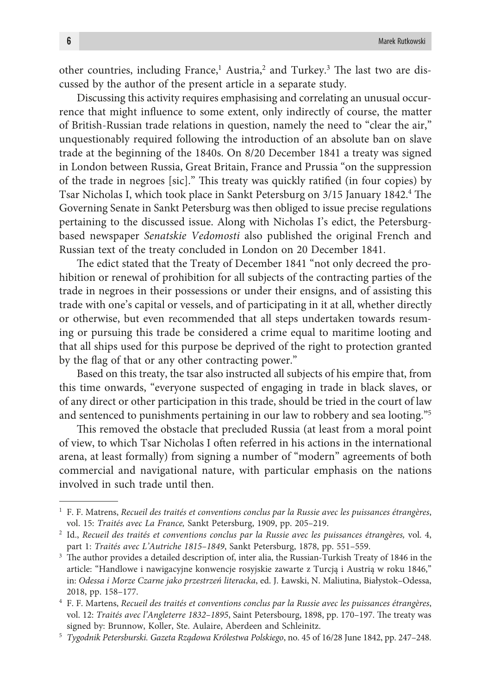other countries, including France,<sup>1</sup> Austria,<sup>2</sup> and Turkey.<sup>3</sup> The last two are discussed by the author of the present article in a separate study.

Discussing this activity requires emphasising and correlating an unusual occurrence that might influence to some extent, only indirectly of course, the matter of British-Russian trade relations in question, namely the need to "clear the air," unquestionably required following the introduction of an absolute ban on slave trade at the beginning of the 1840s. On 8/20 December 1841 a treaty was signed in London between Russia, Great Britain, France and Prussia "on the suppression of the trade in negroes [sic]." This treaty was quickly ratified (in four copies) by Tsar Nicholas I, which took place in Sankt Petersburg on 3/15 January 1842.<sup>4</sup> The Governing Senate in Sankt Petersburg was then obliged to issue precise regulations pertaining to the discussed issue. Along with Nicholas I's edict, the Petersburgbased newspaper *Senatskie Vedomosti* also published the original French and Russian text of the treaty concluded in London on 20 December 1841.

The edict stated that the Treaty of December 1841 "not only decreed the prohibition or renewal of prohibition for all subjects of the contracting parties of the trade in negroes in their possessions or under their ensigns, and of assisting this trade with one's capital or vessels, and of participating in it at all, whether directly or otherwise, but even recommended that all steps undertaken towards resuming or pursuing this trade be considered a crime equal to maritime looting and that all ships used for this purpose be deprived of the right to protection granted by the flag of that or any other contracting power."

Based on this treaty, the tsar also instructed all subjects of his empire that, from this time onwards, "everyone suspected of engaging in trade in black slaves, or of any direct or other participation in this trade, should be tried in the court of law and sentenced to punishments pertaining in our law to robbery and sea looting."5

This removed the obstacle that precluded Russia (at least from a moral point of view, to which Tsar Nicholas I often referred in his actions in the international arena, at least formally) from signing a number of "modern" agreements of both commercial and navigational nature, with particular emphasis on the nations involved in such trade until then.

<sup>1</sup> F. F. Matrens, *Recueil des traités et conventions conclus par la Russie avec les puissances étrangères*, vol. 15: *Traités avec La France,* Sankt Petersburg, 1909, pp. 205–219.

<sup>2</sup> Id., *Recueil des traités et conventions conclus par la Russie avec les puissances étrangères,* vol. 4, part 1: *Traités avec L'Autriche 1815–1849*, Sankt Petersburg, 1878, pp. 551–559.

<sup>&</sup>lt;sup>3</sup> The author provides a detailed description of, inter alia, the Russian-Turkish Treaty of 1846 in the article: "Handlowe i nawigacyjne konwencje rosyjskie zawarte z Turcją i Austrią w roku 1846," in: *Odessa i Morze Czarne jako przestrzeń literacka*, ed. J. Ławski, N. Maliutina, Białystok–Odessa, 2018, pp. 158–177.

<sup>4</sup> F. F. Martens, *Recueil des traités et conventions conclus par la Russie avec les puissances étrangères*, vol. 12: *Traités avec l'Angleterre 1832–1895*, Saint Petersbourg, 1898, pp. 170–197. The treaty was signed by: Brunnow, Koller, Ste. Aulaire, Aberdeen and Schleinitz.

<sup>5</sup> *Tygodnik Petersburski. Gazeta Rządowa Królestwa Polskiego*, no. 45 of 16/28 June 1842, pp. 247–248.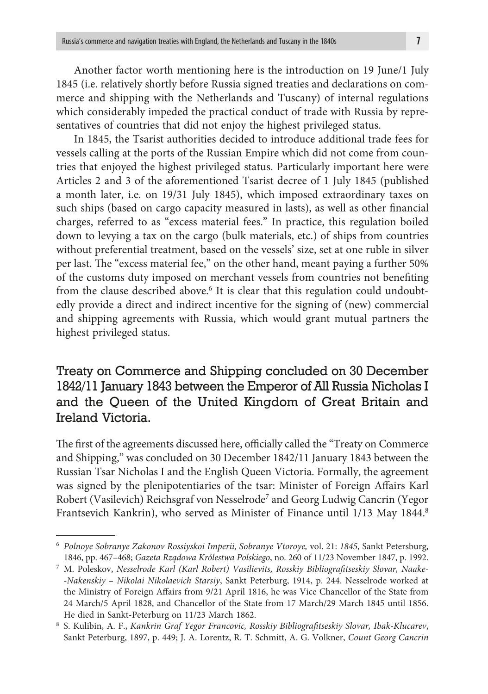Another factor worth mentioning here is the introduction on 19 June/1 July 1845 (i.e. relatively shortly before Russia signed treaties and declarations on commerce and shipping with the Netherlands and Tuscany) of internal regulations which considerably impeded the practical conduct of trade with Russia by representatives of countries that did not enjoy the highest privileged status.

In 1845, the Tsarist authorities decided to introduce additional trade fees for vessels calling at the ports of the Russian Empire which did not come from countries that enjoyed the highest privileged status. Particularly important here were Articles 2 and 3 of the aforementioned Tsarist decree of 1 July 1845 (published a month later, i.e. on 19/31 July 1845), which imposed extraordinary taxes on such ships (based on cargo capacity measured in lasts), as well as other financial charges, referred to as "excess material fees." In practice, this regulation boiled down to levying a tax on the cargo (bulk materials, etc.) of ships from countries without preferential treatment, based on the vessels' size, set at one ruble in silver per last. The "excess material fee," on the other hand, meant paying a further 50% of the customs duty imposed on merchant vessels from countries not benefiting from the clause described above.<sup>6</sup> It is clear that this regulation could undoubtedly provide a direct and indirect incentive for the signing of (new) commercial and shipping agreements with Russia, which would grant mutual partners the highest privileged status.

## Treaty on Commerce and Shipping concluded on 30 December 1842/11 January 1843 between the Emperor of All Russia Nicholas I and the Queen of the United Kingdom of Great Britain and Ireland Victoria.

The first of the agreements discussed here, officially called the "Treaty on Commerce and Shipping," was concluded on 30 December 1842/11 January 1843 between the Russian Tsar Nicholas I and the English Queen Victoria. Formally, the agreement was signed by the plenipotentiaries of the tsar: Minister of Foreign Affairs Karl Robert (Vasilevich) Reichsgraf von Nesselrode<sup>7</sup> and Georg Ludwig Cancrin (Yegor Frantsevich Kankrin), who served as Minister of Finance until 1/13 May 1844.<sup>8</sup>

<sup>6</sup> *Polnoye Sobranye Zakonov Rossiyskoi Imperii, Sobranye Vtoroye,* vol. 21: *1845*, Sankt Petersburg, 1846, pp. 467–468; *Gazeta Rządowa Królestwa Polskiego*, no. 260 of 11/23 November 1847, p. 1992.

<sup>7</sup> M. Poleskov, *Nesselrode Karl (Karl Robert) Vasilievits, Rosskiy Bibliografitseskiy Slovar, Naake- -Nakenskiy – Nikolai Nikolaevich Starsiy*, Sankt Peterburg, 1914, p. 244. Nesselrode worked at the Ministry of Foreign Affairs from 9/21 April 1816, he was Vice Chancellor of the State from 24 March/5 April 1828, and Chancellor of the State from 17 March/29 March 1845 until 1856. He died in Sankt-Peterburg on 11/23 March 1862.

<sup>8</sup> S. Kulibin, A. F., *Kankrin Graf Yegor Francovic, Rosskiy Bibliografitseskiy Slovar, Ibak-Klucarev*, Sankt Peterburg, 1897, p. 449; J. A. Lorentz, R. T. Schmitt, A. G. Volkner, *Count Georg Cancrin*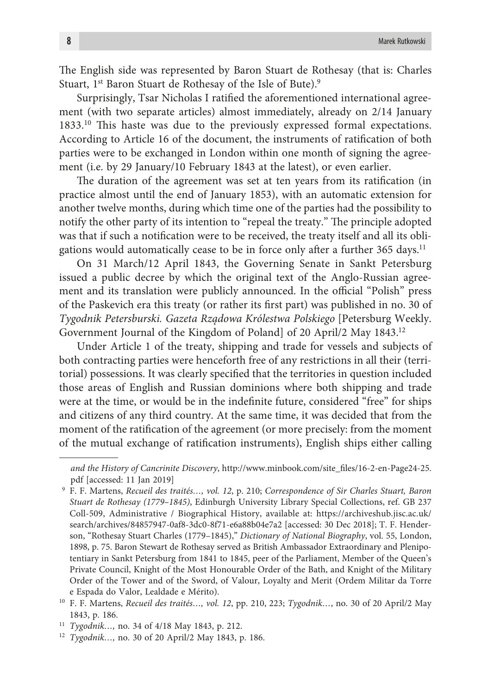The English side was represented by Baron Stuart de Rothesay (that is: Charles Stuart, 1<sup>st</sup> Baron Stuart de Rothesay of the Isle of Bute).<sup>9</sup>

Surprisingly, Tsar Nicholas I ratified the aforementioned international agreement (with two separate articles) almost immediately, already on 2/14 January 1833.10 This haste was due to the previously expressed formal expectations. According to Article 16 of the document, the instruments of ratification of both parties were to be exchanged in London within one month of signing the agreement (i.e. by 29 January/10 February 1843 at the latest), or even earlier.

The duration of the agreement was set at ten years from its ratification (in practice almost until the end of January 1853), with an automatic extension for another twelve months, during which time one of the parties had the possibility to notify the other party of its intention to "repeal the treaty." The principle adopted was that if such a notification were to be received, the treaty itself and all its obligations would automatically cease to be in force only after a further 365 days.11

On 31 March/12 April 1843, the Governing Senate in Sankt Petersburg issued a public decree by which the original text of the Anglo-Russian agreement and its translation were publicly announced. In the official "Polish" press of the Paskevich era this treaty (or rather its first part) was published in no. 30 of *Tygodnik Petersburski. Gazeta Rządowa Królestwa Polskiego* [Petersburg Weekly. Government Journal of the Kingdom of Poland] of 20 April/2 May 1843.12

Under Article 1 of the treaty, shipping and trade for vessels and subjects of both contracting parties were henceforth free of any restrictions in all their (territorial) possessions. It was clearly specified that the territories in question included those areas of English and Russian dominions where both shipping and trade were at the time, or would be in the indefinite future, considered "free" for ships and citizens of any third country. At the same time, it was decided that from the moment of the ratification of the agreement (or more precisely: from the moment of the mutual exchange of ratification instruments), English ships either calling

*and the History of Cancrinite Discovery*, http://www.minbook.com/site\_files/16-2-en-Page24-25. pdf [accessed: 11 Jan 2019] 9 F. F. Martens, *Recueil des traités…, vol. 12*, p. 210; *Correspondence of Sir Charles Stuart, Baron* 

*Stuart de Rothesay (1779–1845)*, Edinburgh University Library Special Collections, ref. GB 237 Coll-509, Administrative / Biographical History, available at: https://archiveshub.jisc.ac.uk/ search/archives/84857947-0af8-3dc0-8f71-e6a88b04e7a2 [accessed: 30 Dec 2018]; T. F. Henderson, "Rothesay Stuart Charles (1779–1845)," *Dictionary of National Biography*, vol. 55, London, 1898, p. 75. Baron Stewart de Rothesay served as British Ambassador Extraordinary and Plenipotentiary in Sankt Petersburg from 1841 to 1845, peer of the Parliament, Member of the Queen's Private Council, Knight of the Most Honourable Order of the Bath, and Knight of the Military Order of the Tower and of the Sword, of Valour, Loyalty and Merit (Ordem Militar da Torre e Espada do Valor, Lealdade e Mérito).

<sup>10</sup> F. F. Martens, *Recueil des traités…, vol. 12*, pp. 210, 223; *Tygodnik…*, no. 30 of 20 April/2 May 1843, p. 186.

<sup>11</sup> *Tygodnik…,* no. 34 of 4/18 May 1843, p. 212.

<sup>12</sup> *Tygodnik…,* no. 30 of 20 April/2 May 1843, p. 186.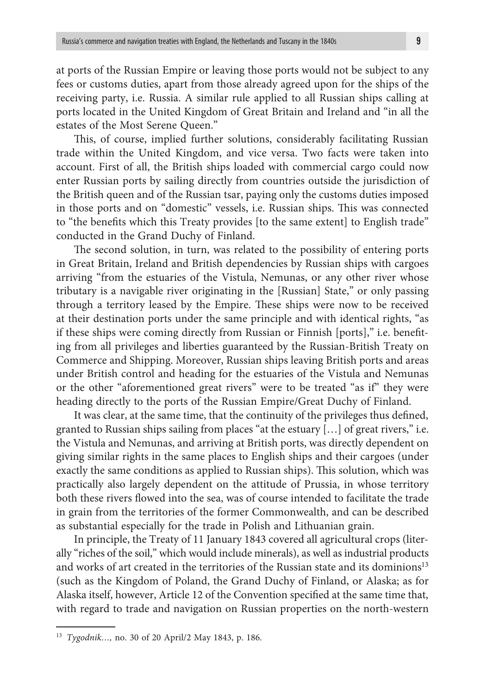at ports of the Russian Empire or leaving those ports would not be subject to any fees or customs duties, apart from those already agreed upon for the ships of the receiving party, i.e. Russia. A similar rule applied to all Russian ships calling at ports located in the United Kingdom of Great Britain and Ireland and "in all the estates of the Most Serene Queen."

This, of course, implied further solutions, considerably facilitating Russian trade within the United Kingdom, and vice versa. Two facts were taken into account. First of all, the British ships loaded with commercial cargo could now enter Russian ports by sailing directly from countries outside the jurisdiction of the British queen and of the Russian tsar, paying only the customs duties imposed in those ports and on "domestic" vessels, i.e. Russian ships. This was connected to "the benefits which this Treaty provides [to the same extent] to English trade" conducted in the Grand Duchy of Finland.

The second solution, in turn, was related to the possibility of entering ports in Great Britain, Ireland and British dependencies by Russian ships with cargoes arriving "from the estuaries of the Vistula, Nemunas, or any other river whose tributary is a navigable river originating in the [Russian] State," or only passing through a territory leased by the Empire. These ships were now to be received at their destination ports under the same principle and with identical rights, "as if these ships were coming directly from Russian or Finnish [ports]," i.e. benefiting from all privileges and liberties guaranteed by the Russian-British Treaty on Commerce and Shipping. Moreover, Russian ships leaving British ports and areas under British control and heading for the estuaries of the Vistula and Nemunas or the other "aforementioned great rivers" were to be treated "as if" they were heading directly to the ports of the Russian Empire/Great Duchy of Finland.

It was clear, at the same time, that the continuity of the privileges thus defined, granted to Russian ships sailing from places "at the estuary […] of great rivers," i.e. the Vistula and Nemunas, and arriving at British ports, was directly dependent on giving similar rights in the same places to English ships and their cargoes (under exactly the same conditions as applied to Russian ships). This solution, which was practically also largely dependent on the attitude of Prussia, in whose territory both these rivers flowed into the sea, was of course intended to facilitate the trade in grain from the territories of the former Commonwealth, and can be described as substantial especially for the trade in Polish and Lithuanian grain.

In principle, the Treaty of 11 January 1843 covered all agricultural crops (literally "riches of the soil," which would include minerals), as well as industrial products and works of art created in the territories of the Russian state and its dominions<sup>13</sup> (such as the Kingdom of Poland, the Grand Duchy of Finland, or Alaska; as for Alaska itself, however, Article 12 of the Convention specified at the same time that, with regard to trade and navigation on Russian properties on the north-western

<sup>13</sup> *Tygodnik…,* no. 30 of 20 April/2 May 1843, p. 186.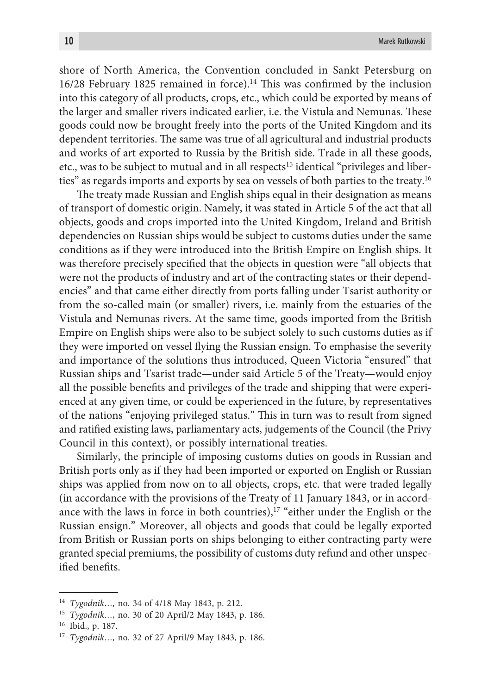shore of North America, the Convention concluded in Sankt Petersburg on 16/28 February 1825 remained in force).14 This was confirmed by the inclusion into this category of all products, crops, etc., which could be exported by means of the larger and smaller rivers indicated earlier, i.e. the Vistula and Nemunas. These goods could now be brought freely into the ports of the United Kingdom and its dependent territories. The same was true of all agricultural and industrial products and works of art exported to Russia by the British side. Trade in all these goods, etc., was to be subject to mutual and in all respects<sup>15</sup> identical "privileges and liberties" as regards imports and exports by sea on vessels of both parties to the treaty.16

The treaty made Russian and English ships equal in their designation as means of transport of domestic origin. Namely, it was stated in Article 5 of the act that all objects, goods and crops imported into the United Kingdom, Ireland and British dependencies on Russian ships would be subject to customs duties under the same conditions as if they were introduced into the British Empire on English ships. It was therefore precisely specified that the objects in question were "all objects that were not the products of industry and art of the contracting states or their dependencies" and that came either directly from ports falling under Tsarist authority or from the so-called main (or smaller) rivers, i.e. mainly from the estuaries of the Vistula and Nemunas rivers. At the same time, goods imported from the British Empire on English ships were also to be subject solely to such customs duties as if they were imported on vessel flying the Russian ensign. To emphasise the severity and importance of the solutions thus introduced, Queen Victoria "ensured" that Russian ships and Tsarist trade—under said Article 5 of the Treaty—would enjoy all the possible benefits and privileges of the trade and shipping that were experienced at any given time, or could be experienced in the future, by representatives of the nations "enjoying privileged status." This in turn was to result from signed and ratified existing laws, parliamentary acts, judgements of the Council (the Privy Council in this context), or possibly international treaties.

Similarly, the principle of imposing customs duties on goods in Russian and British ports only as if they had been imported or exported on English or Russian ships was applied from now on to all objects, crops, etc. that were traded legally (in accordance with the provisions of the Treaty of 11 January 1843, or in accordance with the laws in force in both countries), $17$  "either under the English or the Russian ensign." Moreover, all objects and goods that could be legally exported from British or Russian ports on ships belonging to either contracting party were granted special premiums, the possibility of customs duty refund and other unspecified benefits.

<sup>14</sup> *Tygodnik…,* no. 34 of 4/18 May 1843, p. 212.

<sup>15</sup> *Tygodnik…,* no. 30 of 20 April/2 May 1843, p. 186.

<sup>16</sup> Ibid., p. 187.

<sup>17</sup> *Tygodnik…,* no. 32 of 27 April/9 May 1843, p. 186.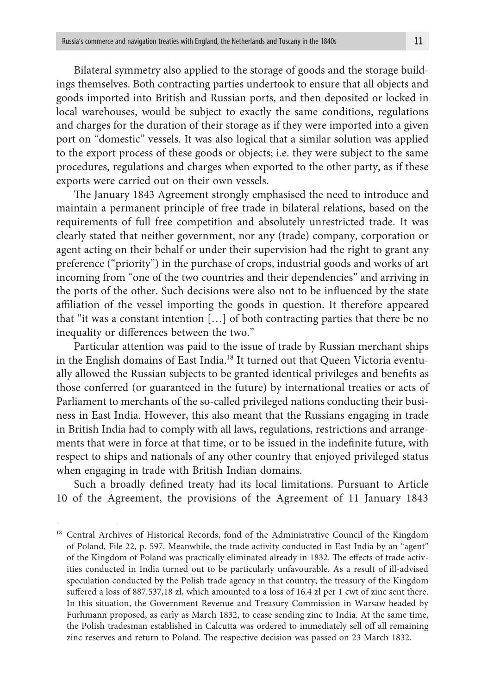Bilateral symmetry also applied to the storage of goods and the storage buildings themselves. Both contracting parties undertook to ensure that all objects and goods imported into British and Russian ports, and then deposited or locked in local warehouses, would be subject to exactly the same conditions, regulations and charges for the duration of their storage as if they were imported into a given port on "domestic" vessels. It was also logical that a similar solution was applied to the export process of these goods or objects; i.e. they were subject to the same procedures, regulations and charges when exported to the other party, as if these exports were carried out on their own vessels.

The January 1843 Agreement strongly emphasised the need to introduce and maintain a permanent principle of free trade in bilateral relations, based on the requirements of full free competition and absolutely unrestricted trade. It was clearly stated that neither government, nor any (trade) company, corporation or agent acting on their behalf or under their supervision had the right to grant any preference ("priority") in the purchase of crops, industrial goods and works of art incoming from "one of the two countries and their dependencies" and arriving in the ports of the other. Such decisions were also not to be influenced by the state affiliation of the vessel importing the goods in question. It therefore appeared that "it was a constant intention […] of both contracting parties that there be no inequality or differences between the two."

Particular attention was paid to the issue of trade by Russian merchant ships in the English domains of East India.18 It turned out that Queen Victoria eventually allowed the Russian subjects to be granted identical privileges and benefits as those conferred (or guaranteed in the future) by international treaties or acts of Parliament to merchants of the so-called privileged nations conducting their business in East India. However, this also meant that the Russians engaging in trade in British India had to comply with all laws, regulations, restrictions and arrangements that were in force at that time, or to be issued in the indefinite future, with respect to ships and nationals of any other country that enjoyed privileged status when engaging in trade with British Indian domains.

Such a broadly defined treaty had its local limitations. Pursuant to Article 10 of the Agreement, the provisions of the Agreement of 11 January 1843

<sup>&</sup>lt;sup>18</sup> Central Archives of Historical Records, fond of the Administrative Council of the Kingdom of Poland, File 22, p. 597. Meanwhile, the trade activity conducted in East India by an "agent" of the Kingdom of Poland was practically eliminated already in 1832. The effects of trade activities conducted in India turned out to be particularly unfavourable. As a result of ill-advised speculation conducted by the Polish trade agency in that country, the treasury of the Kingdom suffered a loss of 887.537,18 zł, which amounted to a loss of 16.4 zł per 1 cwt of zinc sent there. In this situation, the Government Revenue and Treasury Commission in Warsaw headed by Furhmann proposed, as early as March 1832, to cease sending zinc to India. At the same time, the Polish tradesman established in Calcutta was ordered to immediately sell off all remaining zinc reserves and return to Poland. The respective decision was passed on 23 March 1832.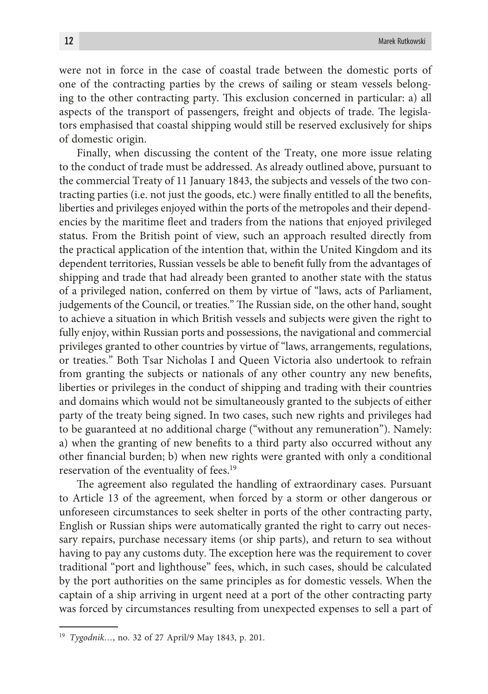were not in force in the case of coastal trade between the domestic ports of one of the contracting parties by the crews of sailing or steam vessels belonging to the other contracting party. This exclusion concerned in particular: a) all aspects of the transport of passengers, freight and objects of trade. The legislators emphasised that coastal shipping would still be reserved exclusively for ships of domestic origin.

Finally, when discussing the content of the Treaty, one more issue relating to the conduct of trade must be addressed. As already outlined above, pursuant to the commercial Treaty of 11 January 1843, the subjects and vessels of the two contracting parties (i.e. not just the goods, etc.) were finally entitled to all the benefits, liberties and privileges enjoyed within the ports of the metropoles and their dependencies by the maritime fleet and traders from the nations that enjoyed privileged status. From the British point of view, such an approach resulted directly from the practical application of the intention that, within the United Kingdom and its dependent territories, Russian vessels be able to benefit fully from the advantages of shipping and trade that had already been granted to another state with the status of a privileged nation, conferred on them by virtue of "laws, acts of Parliament, judgements of the Council, or treaties." The Russian side, on the other hand, sought to achieve a situation in which British vessels and subjects were given the right to fully enjoy, within Russian ports and possessions, the navigational and commercial privileges granted to other countries by virtue of "laws, arrangements, regulations, or treaties." Both Tsar Nicholas I and Queen Victoria also undertook to refrain from granting the subjects or nationals of any other country any new benefits, liberties or privileges in the conduct of shipping and trading with their countries and domains which would not be simultaneously granted to the subjects of either party of the treaty being signed. In two cases, such new rights and privileges had to be guaranteed at no additional charge ("without any remuneration"). Namely: a) when the granting of new benefits to a third party also occurred without any other financial burden; b) when new rights were granted with only a conditional reservation of the eventuality of fees.<sup>19</sup>

The agreement also regulated the handling of extraordinary cases. Pursuant to Article 13 of the agreement, when forced by a storm or other dangerous or unforeseen circumstances to seek shelter in ports of the other contracting party, English or Russian ships were automatically granted the right to carry out necessary repairs, purchase necessary items (or ship parts), and return to sea without having to pay any customs duty. The exception here was the requirement to cover traditional "port and lighthouse" fees, which, in such cases, should be calculated by the port authorities on the same principles as for domestic vessels. When the captain of a ship arriving in urgent need at a port of the other contracting party was forced by circumstances resulting from unexpected expenses to sell a part of

<sup>19</sup> *Tygodnik…*, no. 32 of 27 April/9 May 1843, p. 201.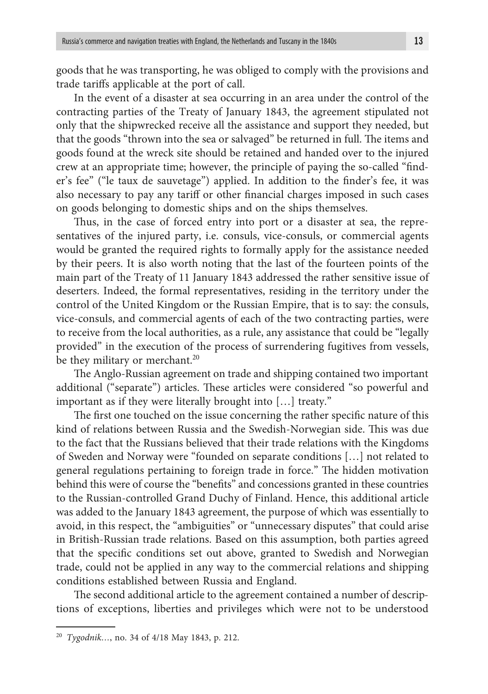goods that he was transporting, he was obliged to comply with the provisions and trade tariffs applicable at the port of call.

In the event of a disaster at sea occurring in an area under the control of the contracting parties of the Treaty of January 1843, the agreement stipulated not only that the shipwrecked receive all the assistance and support they needed, but that the goods "thrown into the sea or salvaged" be returned in full. The items and goods found at the wreck site should be retained and handed over to the injured crew at an appropriate time; however, the principle of paying the so-called "finder's fee" ("le taux de sauvetage") applied. In addition to the finder's fee, it was also necessary to pay any tariff or other financial charges imposed in such cases on goods belonging to domestic ships and on the ships themselves.

Thus, in the case of forced entry into port or a disaster at sea, the representatives of the injured party, i.e. consuls, vice-consuls, or commercial agents would be granted the required rights to formally apply for the assistance needed by their peers. It is also worth noting that the last of the fourteen points of the main part of the Treaty of 11 January 1843 addressed the rather sensitive issue of deserters. Indeed, the formal representatives, residing in the territory under the control of the United Kingdom or the Russian Empire, that is to say: the consuls, vice-consuls, and commercial agents of each of the two contracting parties, were to receive from the local authorities, as a rule, any assistance that could be "legally provided" in the execution of the process of surrendering fugitives from vessels, be they military or merchant.<sup>20</sup>

The Anglo-Russian agreement on trade and shipping contained two important additional ("separate") articles. These articles were considered "so powerful and important as if they were literally brought into […] treaty."

The first one touched on the issue concerning the rather specific nature of this kind of relations between Russia and the Swedish-Norwegian side. This was due to the fact that the Russians believed that their trade relations with the Kingdoms of Sweden and Norway were "founded on separate conditions […] not related to general regulations pertaining to foreign trade in force." The hidden motivation behind this were of course the "benefits" and concessions granted in these countries to the Russian-controlled Grand Duchy of Finland. Hence, this additional article was added to the January 1843 agreement, the purpose of which was essentially to avoid, in this respect, the "ambiguities" or "unnecessary disputes" that could arise in British-Russian trade relations. Based on this assumption, both parties agreed that the specific conditions set out above, granted to Swedish and Norwegian trade, could not be applied in any way to the commercial relations and shipping conditions established between Russia and England.

The second additional article to the agreement contained a number of descriptions of exceptions, liberties and privileges which were not to be understood

<sup>20</sup> *Tygodnik…*, no. 34 of 4/18 May 1843, p. 212.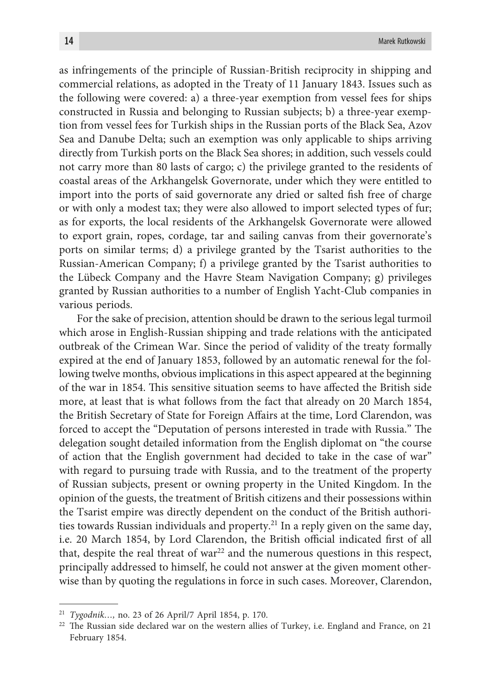as infringements of the principle of Russian-British reciprocity in shipping and commercial relations, as adopted in the Treaty of 11 January 1843. Issues such as the following were covered: a) a three-year exemption from vessel fees for ships constructed in Russia and belonging to Russian subjects; b) a three-year exemption from vessel fees for Turkish ships in the Russian ports of the Black Sea, Azov Sea and Danube Delta; such an exemption was only applicable to ships arriving directly from Turkish ports on the Black Sea shores; in addition, such vessels could not carry more than 80 lasts of cargo; c) the privilege granted to the residents of coastal areas of the Arkhangelsk Governorate, under which they were entitled to import into the ports of said governorate any dried or salted fish free of charge or with only a modest tax; they were also allowed to import selected types of fur; as for exports, the local residents of the Arkhangelsk Governorate were allowed to export grain, ropes, cordage, tar and sailing canvas from their governorate's ports on similar terms; d) a privilege granted by the Tsarist authorities to the Russian-American Company; f) a privilege granted by the Tsarist authorities to the Lübeck Company and the Havre Steam Navigation Company; g) privileges granted by Russian authorities to a number of English Yacht-Club companies in various periods.

For the sake of precision, attention should be drawn to the serious legal turmoil which arose in English-Russian shipping and trade relations with the anticipated outbreak of the Crimean War. Since the period of validity of the treaty formally expired at the end of January 1853, followed by an automatic renewal for the following twelve months, obvious implications in this aspect appeared at the beginning of the war in 1854. This sensitive situation seems to have affected the British side more, at least that is what follows from the fact that already on 20 March 1854, the British Secretary of State for Foreign Affairs at the time, Lord Clarendon, was forced to accept the "Deputation of persons interested in trade with Russia." The delegation sought detailed information from the English diplomat on "the course of action that the English government had decided to take in the case of war" with regard to pursuing trade with Russia, and to the treatment of the property of Russian subjects, present or owning property in the United Kingdom. In the opinion of the guests, the treatment of British citizens and their possessions within the Tsarist empire was directly dependent on the conduct of the British authorities towards Russian individuals and property.<sup>21</sup> In a reply given on the same day, i.e. 20 March 1854, by Lord Clarendon, the British official indicated first of all that, despite the real threat of war<sup>22</sup> and the numerous questions in this respect, principally addressed to himself, he could not answer at the given moment otherwise than by quoting the regulations in force in such cases. Moreover, Clarendon,

<sup>&</sup>lt;sup>21</sup> *Tygodnik…*, no. 23 of 26 April/7 April 1854, p. 170.<br><sup>22</sup> The Russian side declared war on the western allies of Turkey, i.e. England and France, on 21 February 1854.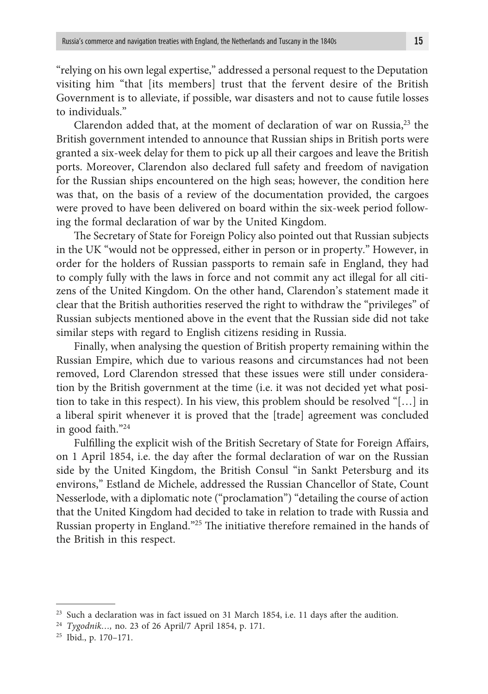"relying on his own legal expertise," addressed a personal request to the Deputation visiting him "that [its members] trust that the fervent desire of the British Government is to alleviate, if possible, war disasters and not to cause futile losses to individuals."

Clarendon added that, at the moment of declaration of war on Russia,<sup>23</sup> the British government intended to announce that Russian ships in British ports were granted a six-week delay for them to pick up all their cargoes and leave the British ports. Moreover, Clarendon also declared full safety and freedom of navigation for the Russian ships encountered on the high seas; however, the condition here was that, on the basis of a review of the documentation provided, the cargoes were proved to have been delivered on board within the six-week period following the formal declaration of war by the United Kingdom.

The Secretary of State for Foreign Policy also pointed out that Russian subjects in the UK "would not be oppressed, either in person or in property." However, in order for the holders of Russian passports to remain safe in England, they had to comply fully with the laws in force and not commit any act illegal for all citizens of the United Kingdom. On the other hand, Clarendon's statement made it clear that the British authorities reserved the right to withdraw the "privileges" of Russian subjects mentioned above in the event that the Russian side did not take similar steps with regard to English citizens residing in Russia.

Finally, when analysing the question of British property remaining within the Russian Empire, which due to various reasons and circumstances had not been removed, Lord Clarendon stressed that these issues were still under consideration by the British government at the time (i.e. it was not decided yet what position to take in this respect). In his view, this problem should be resolved "[…] in a liberal spirit whenever it is proved that the [trade] agreement was concluded in good faith."24

Fulfilling the explicit wish of the British Secretary of State for Foreign Affairs, on 1 April 1854, i.e. the day after the formal declaration of war on the Russian side by the United Kingdom, the British Consul "in Sankt Petersburg and its environs," Estland de Michele, addressed the Russian Chancellor of State, Count Nesserlode, with a diplomatic note ("proclamation") "detailing the course of action that the United Kingdom had decided to take in relation to trade with Russia and Russian property in England."25 The initiative therefore remained in the hands of the British in this respect.

<sup>&</sup>lt;sup>23</sup> Such a declaration was in fact issued on 31 March 1854, i.e. 11 days after the audition.

<sup>24</sup> *Tygodnik…,* no. 23 of 26 April/7 April 1854, p. 171.

<sup>25</sup> Ibid., p. 170–171.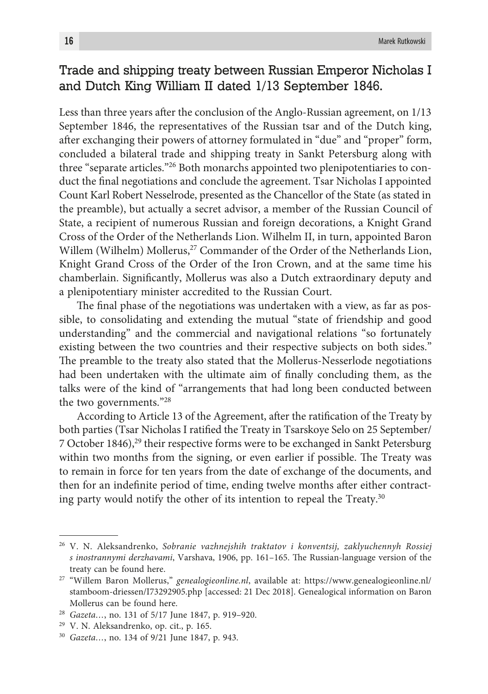### Trade and shipping treaty between Russian Emperor Nicholas I and Dutch King William II dated 1/13 September 1846.

Less than three years after the conclusion of the Anglo-Russian agreement, on 1/13 September 1846, the representatives of the Russian tsar and of the Dutch king, after exchanging their powers of attorney formulated in "due" and "proper" form, concluded a bilateral trade and shipping treaty in Sankt Petersburg along with three "separate articles."26 Both monarchs appointed two plenipotentiaries to conduct the final negotiations and conclude the agreement. Tsar Nicholas I appointed Count Karl Robert Nesselrode, presented as the Chancellor of the State (as stated in the preamble), but actually a secret advisor, a member of the Russian Council of State, a recipient of numerous Russian and foreign decorations, a Knight Grand Cross of the Order of the Netherlands Lion. Wilhelm II, in turn, appointed Baron Willem (Wilhelm) Mollerus,<sup>27</sup> Commander of the Order of the Netherlands Lion, Knight Grand Cross of the Order of the Iron Crown, and at the same time his chamberlain. Significantly, Mollerus was also a Dutch extraordinary deputy and a plenipotentiary minister accredited to the Russian Court.

The final phase of the negotiations was undertaken with a view, as far as possible, to consolidating and extending the mutual "state of friendship and good understanding" and the commercial and navigational relations "so fortunately existing between the two countries and their respective subjects on both sides." The preamble to the treaty also stated that the Mollerus-Nesserlode negotiations had been undertaken with the ultimate aim of finally concluding them, as the talks were of the kind of "arrangements that had long been conducted between the two governments."28

According to Article 13 of the Agreement, after the ratification of the Treaty by both parties (Tsar Nicholas I ratified the Treaty in Tsarskoye Selo on 25 September/ 7 October 1846), $^{29}$  their respective forms were to be exchanged in Sankt Petersburg within two months from the signing, or even earlier if possible. The Treaty was to remain in force for ten years from the date of exchange of the documents, and then for an indefinite period of time, ending twelve months after either contracting party would notify the other of its intention to repeal the Treaty.30

<sup>26</sup> V. N. Aleksandrenko, *Sobranie vazhnejshih traktatov i konventsij, zaklyuchennyh Rossiej s inostrannymi derzhavami*, Varshava, 1906, pp. 161–165. The Russian-language version of the treaty can be found here.

<sup>27</sup> "Willem Baron Mollerus," *genealogieonline.nl*, available at: https://www.genealogieonline.nl/ stamboom-driessen/I73292905.php [accessed: 21 Dec 2018]. Genealogical information on Baron Mollerus can be found here.

<sup>28</sup> *Gazeta…*, no. 131 of 5/17 June 1847, p. 919–920.

<sup>29</sup> V. N. Aleksandrenko, op. cit., p. 165.

<sup>30</sup> *Gazeta…*, no. 134 of 9/21 June 1847, p. 943.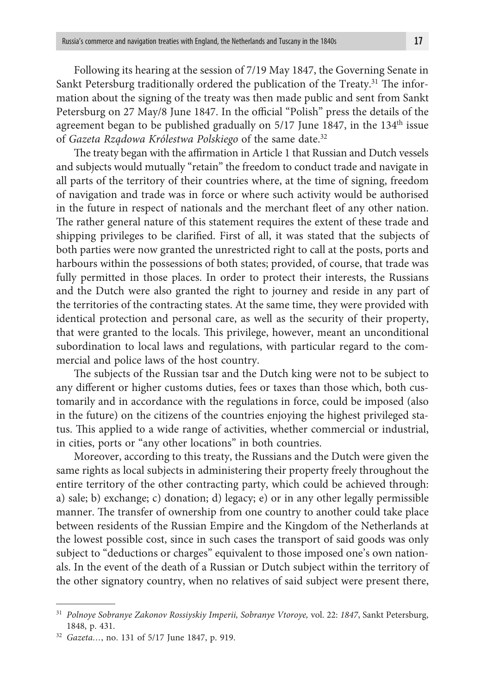Following its hearing at the session of 7/19 May 1847, the Governing Senate in Sankt Petersburg traditionally ordered the publication of the Treaty.<sup>31</sup> The information about the signing of the treaty was then made public and sent from Sankt Petersburg on 27 May/8 June 1847. In the official "Polish" press the details of the agreement began to be published gradually on 5/17 June 1847, in the 134<sup>th</sup> issue of *Gazeta Rządowa Królestwa Polskiego* of the same date.32

The treaty began with the affirmation in Article 1 that Russian and Dutch vessels and subjects would mutually "retain" the freedom to conduct trade and navigate in all parts of the territory of their countries where, at the time of signing, freedom of navigation and trade was in force or where such activity would be authorised in the future in respect of nationals and the merchant fleet of any other nation. The rather general nature of this statement requires the extent of these trade and shipping privileges to be clarified. First of all, it was stated that the subjects of both parties were now granted the unrestricted right to call at the posts, ports and harbours within the possessions of both states; provided, of course, that trade was fully permitted in those places. In order to protect their interests, the Russians and the Dutch were also granted the right to journey and reside in any part of the territories of the contracting states. At the same time, they were provided with identical protection and personal care, as well as the security of their property, that were granted to the locals. This privilege, however, meant an unconditional subordination to local laws and regulations, with particular regard to the commercial and police laws of the host country.

The subjects of the Russian tsar and the Dutch king were not to be subject to any different or higher customs duties, fees or taxes than those which, both customarily and in accordance with the regulations in force, could be imposed (also in the future) on the citizens of the countries enjoying the highest privileged status. This applied to a wide range of activities, whether commercial or industrial, in cities, ports or "any other locations" in both countries.

Moreover, according to this treaty, the Russians and the Dutch were given the same rights as local subjects in administering their property freely throughout the entire territory of the other contracting party, which could be achieved through: a) sale; b) exchange; c) donation; d) legacy; e) or in any other legally permissible manner. The transfer of ownership from one country to another could take place between residents of the Russian Empire and the Kingdom of the Netherlands at the lowest possible cost, since in such cases the transport of said goods was only subject to "deductions or charges" equivalent to those imposed one's own nationals. In the event of the death of a Russian or Dutch subject within the territory of the other signatory country, when no relatives of said subject were present there,

<sup>31</sup> *Polnoye Sobranye Zakonov Rossiyskiy Imperii, Sobranye Vtoroye,* vol. 22: *1847*, Sankt Petersburg, 1848, p. 431. 32 *Gazeta…*, no. 131 of 5/17 June 1847, p. 919.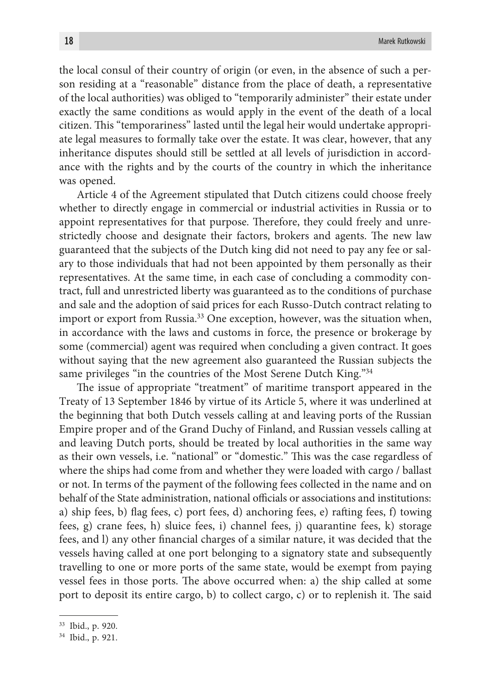the local consul of their country of origin (or even, in the absence of such a person residing at a "reasonable" distance from the place of death, a representative of the local authorities) was obliged to "temporarily administer" their estate under exactly the same conditions as would apply in the event of the death of a local citizen. This "temporariness" lasted until the legal heir would undertake appropriate legal measures to formally take over the estate. It was clear, however, that any inheritance disputes should still be settled at all levels of jurisdiction in accordance with the rights and by the courts of the country in which the inheritance was opened.

Article 4 of the Agreement stipulated that Dutch citizens could choose freely whether to directly engage in commercial or industrial activities in Russia or to appoint representatives for that purpose. Therefore, they could freely and unrestrictedly choose and designate their factors, brokers and agents. The new law guaranteed that the subjects of the Dutch king did not need to pay any fee or salary to those individuals that had not been appointed by them personally as their representatives. At the same time, in each case of concluding a commodity contract, full and unrestricted liberty was guaranteed as to the conditions of purchase and sale and the adoption of said prices for each Russo-Dutch contract relating to import or export from Russia.<sup>33</sup> One exception, however, was the situation when, in accordance with the laws and customs in force, the presence or brokerage by some (commercial) agent was required when concluding a given contract. It goes without saying that the new agreement also guaranteed the Russian subjects the same privileges "in the countries of the Most Serene Dutch King."<sup>34</sup>

The issue of appropriate "treatment" of maritime transport appeared in the Treaty of 13 September 1846 by virtue of its Article 5, where it was underlined at the beginning that both Dutch vessels calling at and leaving ports of the Russian Empire proper and of the Grand Duchy of Finland, and Russian vessels calling at and leaving Dutch ports, should be treated by local authorities in the same way as their own vessels, i.e. "national" or "domestic." This was the case regardless of where the ships had come from and whether they were loaded with cargo / ballast or not. In terms of the payment of the following fees collected in the name and on behalf of the State administration, national officials or associations and institutions: a) ship fees, b) flag fees, c) port fees, d) anchoring fees, e) rafting fees, f) towing fees, g) crane fees, h) sluice fees, i) channel fees, j) quarantine fees, k) storage fees, and l) any other financial charges of a similar nature, it was decided that the vessels having called at one port belonging to a signatory state and subsequently travelling to one or more ports of the same state, would be exempt from paying vessel fees in those ports. The above occurred when: a) the ship called at some port to deposit its entire cargo, b) to collect cargo, c) or to replenish it. The said

<sup>33</sup> Ibid., p. 920.

<sup>34</sup> Ibid., p. 921.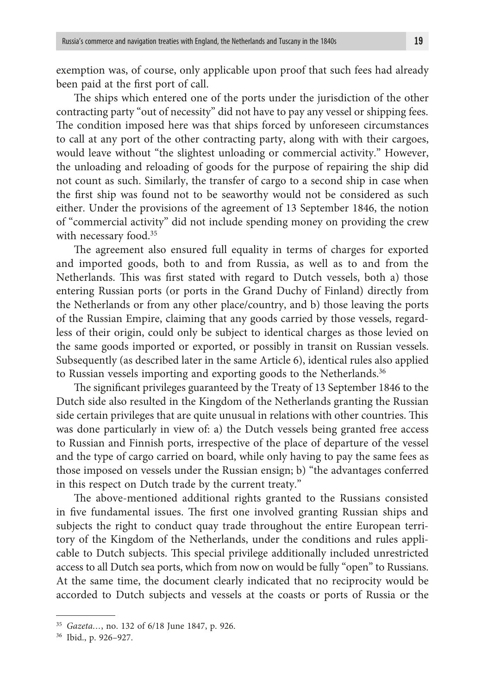exemption was, of course, only applicable upon proof that such fees had already been paid at the first port of call.

The ships which entered one of the ports under the jurisdiction of the other contracting party "out of necessity" did not have to pay any vessel or shipping fees. The condition imposed here was that ships forced by unforeseen circumstances to call at any port of the other contracting party, along with with their cargoes, would leave without "the slightest unloading or commercial activity." However, the unloading and reloading of goods for the purpose of repairing the ship did not count as such. Similarly, the transfer of cargo to a second ship in case when the first ship was found not to be seaworthy would not be considered as such either. Under the provisions of the agreement of 13 September 1846, the notion of "commercial activity" did not include spending money on providing the crew with necessary food.<sup>35</sup>

The agreement also ensured full equality in terms of charges for exported and imported goods, both to and from Russia, as well as to and from the Netherlands. This was first stated with regard to Dutch vessels, both a) those entering Russian ports (or ports in the Grand Duchy of Finland) directly from the Netherlands or from any other place/country, and b) those leaving the ports of the Russian Empire, claiming that any goods carried by those vessels, regardless of their origin, could only be subject to identical charges as those levied on the same goods imported or exported, or possibly in transit on Russian vessels. Subsequently (as described later in the same Article 6), identical rules also applied to Russian vessels importing and exporting goods to the Netherlands.<sup>36</sup>

The significant privileges guaranteed by the Treaty of 13 September 1846 to the Dutch side also resulted in the Kingdom of the Netherlands granting the Russian side certain privileges that are quite unusual in relations with other countries. This was done particularly in view of: a) the Dutch vessels being granted free access to Russian and Finnish ports, irrespective of the place of departure of the vessel and the type of cargo carried on board, while only having to pay the same fees as those imposed on vessels under the Russian ensign; b) "the advantages conferred in this respect on Dutch trade by the current treaty."

The above-mentioned additional rights granted to the Russians consisted in five fundamental issues. The first one involved granting Russian ships and subjects the right to conduct quay trade throughout the entire European territory of the Kingdom of the Netherlands, under the conditions and rules applicable to Dutch subjects. This special privilege additionally included unrestricted access to all Dutch sea ports, which from now on would be fully "open" to Russians. At the same time, the document clearly indicated that no reciprocity would be accorded to Dutch subjects and vessels at the coasts or ports of Russia or the

<sup>35</sup> *Gazeta…*, no. 132 of 6/18 June 1847, p. 926.

<sup>36</sup> Ibid., p. 926–927.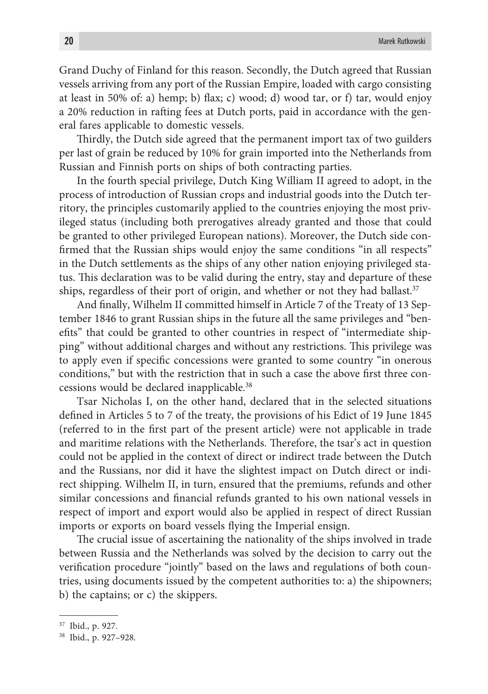Grand Duchy of Finland for this reason. Secondly, the Dutch agreed that Russian vessels arriving from any port of the Russian Empire, loaded with cargo consisting at least in 50% of: a) hemp; b) flax; c) wood; d) wood tar, or f) tar, would enjoy a 20% reduction in rafting fees at Dutch ports, paid in accordance with the general fares applicable to domestic vessels.

Thirdly, the Dutch side agreed that the permanent import tax of two guilders per last of grain be reduced by 10% for grain imported into the Netherlands from Russian and Finnish ports on ships of both contracting parties.

In the fourth special privilege, Dutch King William II agreed to adopt, in the process of introduction of Russian crops and industrial goods into the Dutch territory, the principles customarily applied to the countries enjoying the most privileged status (including both prerogatives already granted and those that could be granted to other privileged European nations). Moreover, the Dutch side confirmed that the Russian ships would enjoy the same conditions "in all respects" in the Dutch settlements as the ships of any other nation enjoying privileged status. This declaration was to be valid during the entry, stay and departure of these ships, regardless of their port of origin, and whether or not they had ballast.<sup>37</sup>

And finally, Wilhelm II committed himself in Article 7 of the Treaty of 13 September 1846 to grant Russian ships in the future all the same privileges and "benefits" that could be granted to other countries in respect of "intermediate shipping" without additional charges and without any restrictions. This privilege was to apply even if specific concessions were granted to some country "in onerous conditions," but with the restriction that in such a case the above first three concessions would be declared inapplicable.38

Tsar Nicholas I, on the other hand, declared that in the selected situations defined in Articles 5 to 7 of the treaty, the provisions of his Edict of 19 June 1845 (referred to in the first part of the present article) were not applicable in trade and maritime relations with the Netherlands. Therefore, the tsar's act in question could not be applied in the context of direct or indirect trade between the Dutch and the Russians, nor did it have the slightest impact on Dutch direct or indirect shipping. Wilhelm II, in turn, ensured that the premiums, refunds and other similar concessions and financial refunds granted to his own national vessels in respect of import and export would also be applied in respect of direct Russian imports or exports on board vessels flying the Imperial ensign.

The crucial issue of ascertaining the nationality of the ships involved in trade between Russia and the Netherlands was solved by the decision to carry out the verification procedure "jointly" based on the laws and regulations of both countries, using documents issued by the competent authorities to: a) the shipowners; b) the captains; or c) the skippers.

<sup>37</sup> Ibid., p. 927.

<sup>38</sup> Ibid., p. 927–928.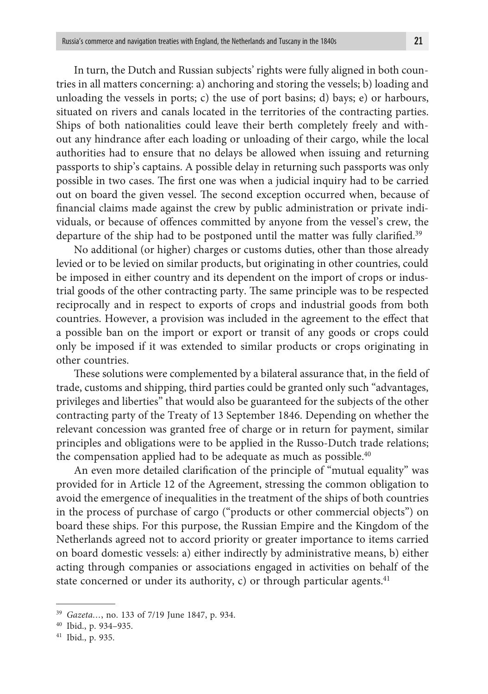In turn, the Dutch and Russian subjects' rights were fully aligned in both countries in all matters concerning: a) anchoring and storing the vessels; b) loading and unloading the vessels in ports; c) the use of port basins; d) bays; e) or harbours, situated on rivers and canals located in the territories of the contracting parties. Ships of both nationalities could leave their berth completely freely and without any hindrance after each loading or unloading of their cargo, while the local authorities had to ensure that no delays be allowed when issuing and returning passports to ship's captains. A possible delay in returning such passports was only possible in two cases. The first one was when a judicial inquiry had to be carried out on board the given vessel. The second exception occurred when, because of financial claims made against the crew by public administration or private individuals, or because of offences committed by anyone from the vessel's crew, the departure of the ship had to be postponed until the matter was fully clarified.<sup>39</sup>

No additional (or higher) charges or customs duties, other than those already levied or to be levied on similar products, but originating in other countries, could be imposed in either country and its dependent on the import of crops or industrial goods of the other contracting party. The same principle was to be respected reciprocally and in respect to exports of crops and industrial goods from both countries. However, a provision was included in the agreement to the effect that a possible ban on the import or export or transit of any goods or crops could only be imposed if it was extended to similar products or crops originating in other countries.

These solutions were complemented by a bilateral assurance that, in the field of trade, customs and shipping, third parties could be granted only such "advantages, privileges and liberties" that would also be guaranteed for the subjects of the other contracting party of the Treaty of 13 September 1846. Depending on whether the relevant concession was granted free of charge or in return for payment, similar principles and obligations were to be applied in the Russo-Dutch trade relations; the compensation applied had to be adequate as much as possible. $40$ 

An even more detailed clarification of the principle of "mutual equality" was provided for in Article 12 of the Agreement, stressing the common obligation to avoid the emergence of inequalities in the treatment of the ships of both countries in the process of purchase of cargo ("products or other commercial objects") on board these ships. For this purpose, the Russian Empire and the Kingdom of the Netherlands agreed not to accord priority or greater importance to items carried on board domestic vessels: a) either indirectly by administrative means, b) either acting through companies or associations engaged in activities on behalf of the state concerned or under its authority, c) or through particular agents.<sup>41</sup>

<sup>39</sup> *Gazeta…*, no. 133 of 7/19 June 1847, p. 934.

<sup>40</sup> Ibid., p. 934–935.

<sup>41</sup> Ibid., p. 935.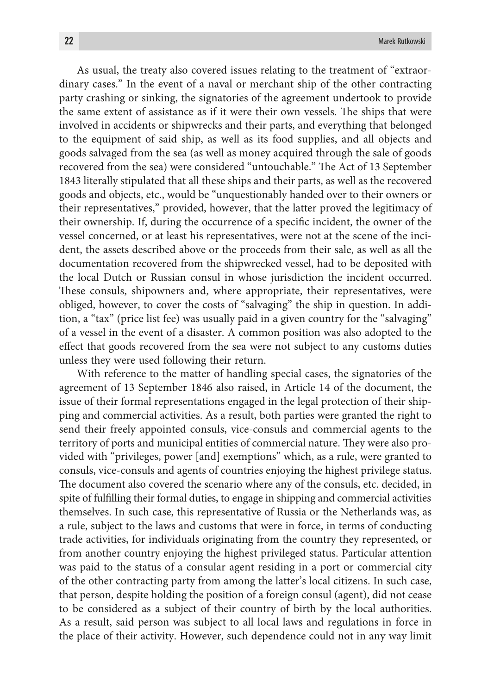As usual, the treaty also covered issues relating to the treatment of "extraordinary cases." In the event of a naval or merchant ship of the other contracting party crashing or sinking, the signatories of the agreement undertook to provide the same extent of assistance as if it were their own vessels. The ships that were involved in accidents or shipwrecks and their parts, and everything that belonged to the equipment of said ship, as well as its food supplies, and all objects and goods salvaged from the sea (as well as money acquired through the sale of goods recovered from the sea) were considered "untouchable." The Act of 13 September 1843 literally stipulated that all these ships and their parts, as well as the recovered goods and objects, etc., would be "unquestionably handed over to their owners or their representatives," provided, however, that the latter proved the legitimacy of their ownership. If, during the occurrence of a specific incident, the owner of the vessel concerned, or at least his representatives, were not at the scene of the incident, the assets described above or the proceeds from their sale, as well as all the documentation recovered from the shipwrecked vessel, had to be deposited with the local Dutch or Russian consul in whose jurisdiction the incident occurred. These consuls, shipowners and, where appropriate, their representatives, were obliged, however, to cover the costs of "salvaging" the ship in question. In addition, a "tax" (price list fee) was usually paid in a given country for the "salvaging" of a vessel in the event of a disaster. A common position was also adopted to the effect that goods recovered from the sea were not subject to any customs duties unless they were used following their return.

With reference to the matter of handling special cases, the signatories of the agreement of 13 September 1846 also raised, in Article 14 of the document, the issue of their formal representations engaged in the legal protection of their shipping and commercial activities. As a result, both parties were granted the right to send their freely appointed consuls, vice-consuls and commercial agents to the territory of ports and municipal entities of commercial nature. They were also provided with "privileges, power [and] exemptions" which, as a rule, were granted to consuls, vice-consuls and agents of countries enjoying the highest privilege status. The document also covered the scenario where any of the consuls, etc. decided, in spite of fulfilling their formal duties, to engage in shipping and commercial activities themselves. In such case, this representative of Russia or the Netherlands was, as a rule, subject to the laws and customs that were in force, in terms of conducting trade activities, for individuals originating from the country they represented, or from another country enjoying the highest privileged status. Particular attention was paid to the status of a consular agent residing in a port or commercial city of the other contracting party from among the latter's local citizens. In such case, that person, despite holding the position of a foreign consul (agent), did not cease to be considered as a subject of their country of birth by the local authorities. As a result, said person was subject to all local laws and regulations in force in the place of their activity. However, such dependence could not in any way limit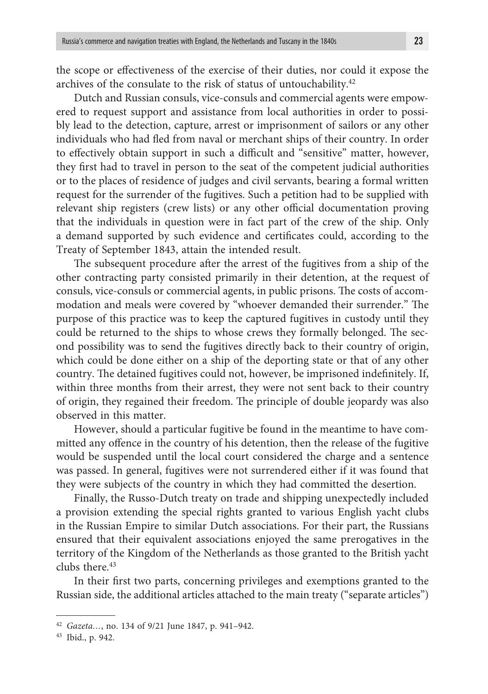the scope or effectiveness of the exercise of their duties, nor could it expose the archives of the consulate to the risk of status of untouchability.42

Dutch and Russian consuls, vice-consuls and commercial agents were empowered to request support and assistance from local authorities in order to possibly lead to the detection, capture, arrest or imprisonment of sailors or any other individuals who had fled from naval or merchant ships of their country. In order to effectively obtain support in such a difficult and "sensitive" matter, however, they first had to travel in person to the seat of the competent judicial authorities or to the places of residence of judges and civil servants, bearing a formal written request for the surrender of the fugitives. Such a petition had to be supplied with relevant ship registers (crew lists) or any other official documentation proving that the individuals in question were in fact part of the crew of the ship. Only a demand supported by such evidence and certificates could, according to the Treaty of September 1843, attain the intended result.

The subsequent procedure after the arrest of the fugitives from a ship of the other contracting party consisted primarily in their detention, at the request of consuls, vice-consuls or commercial agents, in public prisons. The costs of accommodation and meals were covered by "whoever demanded their surrender." The purpose of this practice was to keep the captured fugitives in custody until they could be returned to the ships to whose crews they formally belonged. The second possibility was to send the fugitives directly back to their country of origin, which could be done either on a ship of the deporting state or that of any other country. The detained fugitives could not, however, be imprisoned indefinitely. If, within three months from their arrest, they were not sent back to their country of origin, they regained their freedom. The principle of double jeopardy was also observed in this matter.

However, should a particular fugitive be found in the meantime to have committed any offence in the country of his detention, then the release of the fugitive would be suspended until the local court considered the charge and a sentence was passed. In general, fugitives were not surrendered either if it was found that they were subjects of the country in which they had committed the desertion.

Finally, the Russo-Dutch treaty on trade and shipping unexpectedly included a provision extending the special rights granted to various English yacht clubs in the Russian Empire to similar Dutch associations. For their part, the Russians ensured that their equivalent associations enjoyed the same prerogatives in the territory of the Kingdom of the Netherlands as those granted to the British yacht clubs there.<sup>43</sup>

In their first two parts, concerning privileges and exemptions granted to the Russian side, the additional articles attached to the main treaty ("separate articles")

<sup>42</sup> *Gazeta…*, no. 134 of 9/21 June 1847, p. 941–942.

<sup>43</sup> Ibid., p. 942.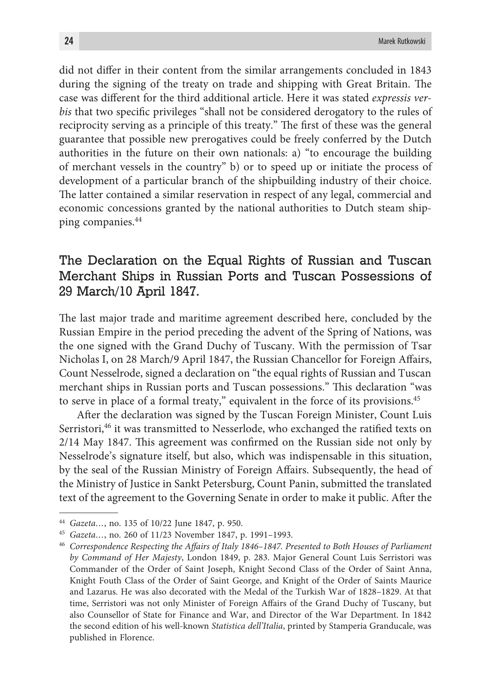did not differ in their content from the similar arrangements concluded in 1843 during the signing of the treaty on trade and shipping with Great Britain. The case was different for the third additional article. Here it was stated *expressis verbis* that two specific privileges "shall not be considered derogatory to the rules of reciprocity serving as a principle of this treaty." The first of these was the general guarantee that possible new prerogatives could be freely conferred by the Dutch authorities in the future on their own nationals: a) "to encourage the building of merchant vessels in the country" b) or to speed up or initiate the process of development of a particular branch of the shipbuilding industry of their choice. The latter contained a similar reservation in respect of any legal, commercial and economic concessions granted by the national authorities to Dutch steam shipping companies.44

### The Declaration on the Equal Rights of Russian and Tuscan Merchant Ships in Russian Ports and Tuscan Possessions of 29 March/10 April 1847.

The last major trade and maritime agreement described here, concluded by the Russian Empire in the period preceding the advent of the Spring of Nations, was the one signed with the Grand Duchy of Tuscany. With the permission of Tsar Nicholas I, on 28 March/9 April 1847, the Russian Chancellor for Foreign Affairs, Count Nesselrode, signed a declaration on "the equal rights of Russian and Tuscan merchant ships in Russian ports and Tuscan possessions." This declaration "was to serve in place of a formal treaty," equivalent in the force of its provisions.<sup>45</sup>

After the declaration was signed by the Tuscan Foreign Minister, Count Luis Serristori,46 it was transmitted to Nesserlode, who exchanged the ratified texts on 2/14 May 1847. This agreement was confirmed on the Russian side not only by Nesselrode's signature itself, but also, which was indispensable in this situation, by the seal of the Russian Ministry of Foreign Affairs. Subsequently, the head of the Ministry of Justice in Sankt Petersburg, Count Panin, submitted the translated text of the agreement to the Governing Senate in order to make it public. After the

<sup>44</sup> *Gazeta…*, no. 135 of 10/22 June 1847, p. 950.

<sup>45</sup> *Gazeta…*, no. 260 of 11/23 November 1847, p. 1991–1993.

<sup>46</sup> *Correspondence Respecting the Affairs of Italy 1846–1847. Presented to Both Houses of Parliament by Command of Her Majesty*, London 1849, p. 283. Major General Count Luis Serristori was Commander of the Order of Saint Joseph, Knight Second Class of the Order of Saint Anna, Knight Fouth Class of the Order of Saint George, and Knight of the Order of Saints Maurice and Lazarus. He was also decorated with the Medal of the Turkish War of 1828–1829. At that time, Serristori was not only Minister of Foreign Affairs of the Grand Duchy of Tuscany, but also Counsellor of State for Finance and War, and Director of the War Department. In 1842 the second edition of his well-known *Statistica dell'Italia*, printed by Stamperia Granducale, was published in Florence.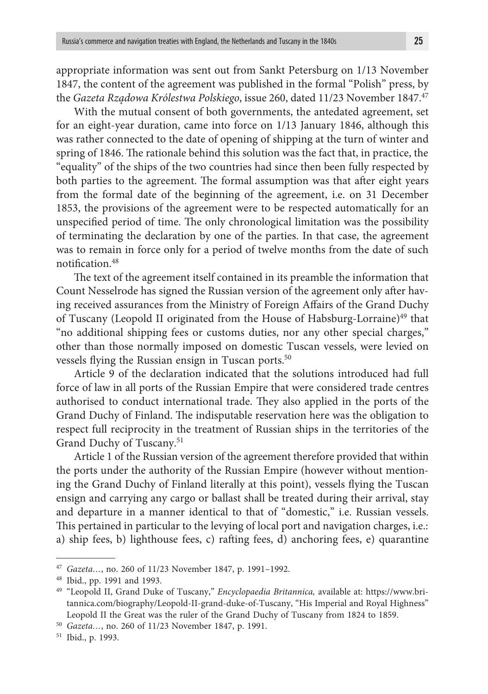appropriate information was sent out from Sankt Petersburg on 1/13 November 1847, the content of the agreement was published in the formal "Polish" press, by the *Gazeta Rządowa Królestwa Polskiego*, issue 260, dated 11/23 November 1847.47

With the mutual consent of both governments, the antedated agreement, set for an eight-year duration, came into force on 1/13 January 1846, although this was rather connected to the date of opening of shipping at the turn of winter and spring of 1846. The rationale behind this solution was the fact that, in practice, the "equality" of the ships of the two countries had since then been fully respected by both parties to the agreement. The formal assumption was that after eight years from the formal date of the beginning of the agreement, i.e. on 31 December 1853, the provisions of the agreement were to be respected automatically for an unspecified period of time. The only chronological limitation was the possibility of terminating the declaration by one of the parties. In that case, the agreement was to remain in force only for a period of twelve months from the date of such notification.48

The text of the agreement itself contained in its preamble the information that Count Nesselrode has signed the Russian version of the agreement only after having received assurances from the Ministry of Foreign Affairs of the Grand Duchy of Tuscany (Leopold II originated from the House of Habsburg-Lorraine)<sup>49</sup> that "no additional shipping fees or customs duties, nor any other special charges," other than those normally imposed on domestic Tuscan vessels, were levied on vessels flying the Russian ensign in Tuscan ports.<sup>50</sup>

Article 9 of the declaration indicated that the solutions introduced had full force of law in all ports of the Russian Empire that were considered trade centres authorised to conduct international trade. They also applied in the ports of the Grand Duchy of Finland. The indisputable reservation here was the obligation to respect full reciprocity in the treatment of Russian ships in the territories of the Grand Duchy of Tuscany.<sup>51</sup>

Article 1 of the Russian version of the agreement therefore provided that within the ports under the authority of the Russian Empire (however without mentioning the Grand Duchy of Finland literally at this point), vessels flying the Tuscan ensign and carrying any cargo or ballast shall be treated during their arrival, stay and departure in a manner identical to that of "domestic," i.e. Russian vessels. This pertained in particular to the levying of local port and navigation charges, i.e.: a) ship fees, b) lighthouse fees, c) rafting fees, d) anchoring fees, e) quarantine

<sup>51</sup> Ibid., p. 1993.

<sup>47</sup> *Gazeta…*, no. 260 of 11/23 November 1847, p. 1991–1992.

<sup>48</sup> Ibid., pp. 1991 and 1993.

<sup>49</sup> "Leopold II, Grand Duke of Tuscany," *Encyclopaedia Britannica,* available at: https://www.britannica.com/biography/Leopold-II-grand-duke-of-Tuscany, "His Imperial and Royal Highness" Leopold II the Great was the ruler of the Grand Duchy of Tuscany from 1824 to 1859.

<sup>50</sup> *Gazeta…*, no. 260 of 11/23 November 1847, p. 1991.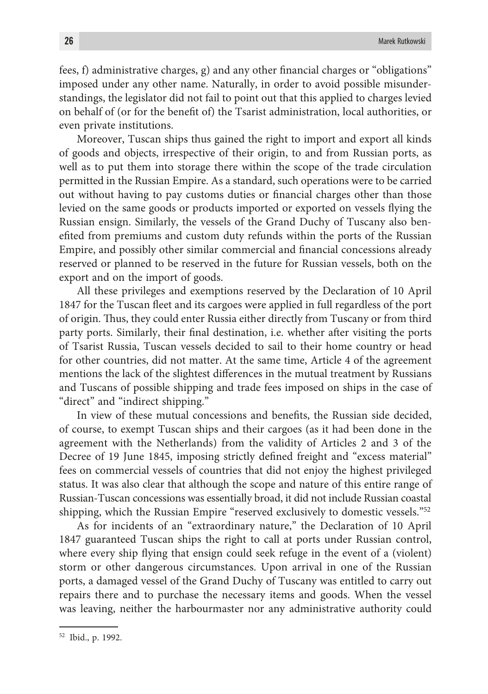fees, f) administrative charges, g) and any other financial charges or "obligations" imposed under any other name. Naturally, in order to avoid possible misunderstandings, the legislator did not fail to point out that this applied to charges levied on behalf of (or for the benefit of) the Tsarist administration, local authorities, or even private institutions.

Moreover, Tuscan ships thus gained the right to import and export all kinds of goods and objects, irrespective of their origin, to and from Russian ports, as well as to put them into storage there within the scope of the trade circulation permitted in the Russian Empire. As a standard, such operations were to be carried out without having to pay customs duties or financial charges other than those levied on the same goods or products imported or exported on vessels flying the Russian ensign. Similarly, the vessels of the Grand Duchy of Tuscany also benefited from premiums and custom duty refunds within the ports of the Russian Empire, and possibly other similar commercial and financial concessions already reserved or planned to be reserved in the future for Russian vessels, both on the export and on the import of goods.

All these privileges and exemptions reserved by the Declaration of 10 April 1847 for the Tuscan fleet and its cargoes were applied in full regardless of the port of origin. Thus, they could enter Russia either directly from Tuscany or from third party ports. Similarly, their final destination, i.e. whether after visiting the ports of Tsarist Russia, Tuscan vessels decided to sail to their home country or head for other countries, did not matter. At the same time, Article 4 of the agreement mentions the lack of the slightest differences in the mutual treatment by Russians and Tuscans of possible shipping and trade fees imposed on ships in the case of "direct" and "indirect shipping."

In view of these mutual concessions and benefits, the Russian side decided, of course, to exempt Tuscan ships and their cargoes (as it had been done in the agreement with the Netherlands) from the validity of Articles 2 and 3 of the Decree of 19 June 1845, imposing strictly defined freight and "excess material" fees on commercial vessels of countries that did not enjoy the highest privileged status. It was also clear that although the scope and nature of this entire range of Russian-Tuscan concessions was essentially broad, it did not include Russian coastal shipping, which the Russian Empire "reserved exclusively to domestic vessels."<sup>52</sup>

As for incidents of an "extraordinary nature," the Declaration of 10 April 1847 guaranteed Tuscan ships the right to call at ports under Russian control, where every ship flying that ensign could seek refuge in the event of a (violent) storm or other dangerous circumstances. Upon arrival in one of the Russian ports, a damaged vessel of the Grand Duchy of Tuscany was entitled to carry out repairs there and to purchase the necessary items and goods. When the vessel was leaving, neither the harbourmaster nor any administrative authority could

<sup>52</sup> Ibid., p. 1992.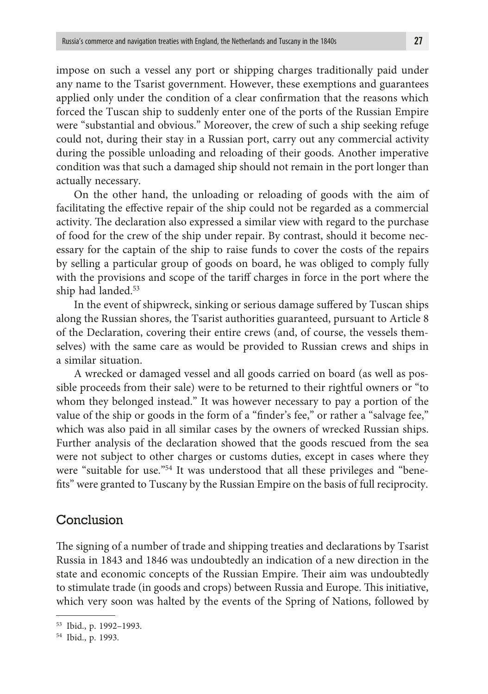impose on such a vessel any port or shipping charges traditionally paid under any name to the Tsarist government. However, these exemptions and guarantees applied only under the condition of a clear confirmation that the reasons which forced the Tuscan ship to suddenly enter one of the ports of the Russian Empire were "substantial and obvious." Moreover, the crew of such a ship seeking refuge could not, during their stay in a Russian port, carry out any commercial activity during the possible unloading and reloading of their goods. Another imperative condition was that such a damaged ship should not remain in the port longer than actually necessary.

On the other hand, the unloading or reloading of goods with the aim of facilitating the effective repair of the ship could not be regarded as a commercial activity. The declaration also expressed a similar view with regard to the purchase of food for the crew of the ship under repair. By contrast, should it become necessary for the captain of the ship to raise funds to cover the costs of the repairs by selling a particular group of goods on board, he was obliged to comply fully with the provisions and scope of the tariff charges in force in the port where the ship had landed.53

In the event of shipwreck, sinking or serious damage suffered by Tuscan ships along the Russian shores, the Tsarist authorities guaranteed, pursuant to Article 8 of the Declaration, covering their entire crews (and, of course, the vessels themselves) with the same care as would be provided to Russian crews and ships in a similar situation.

A wrecked or damaged vessel and all goods carried on board (as well as possible proceeds from their sale) were to be returned to their rightful owners or "to whom they belonged instead." It was however necessary to pay a portion of the value of the ship or goods in the form of a "finder's fee," or rather a "salvage fee," which was also paid in all similar cases by the owners of wrecked Russian ships. Further analysis of the declaration showed that the goods rescued from the sea were not subject to other charges or customs duties, except in cases where they were "suitable for use."54 It was understood that all these privileges and "benefits" were granted to Tuscany by the Russian Empire on the basis of full reciprocity.

#### Conclusion

The signing of a number of trade and shipping treaties and declarations by Tsarist Russia in 1843 and 1846 was undoubtedly an indication of a new direction in the state and economic concepts of the Russian Empire. Their aim was undoubtedly to stimulate trade (in goods and crops) between Russia and Europe. This initiative, which very soon was halted by the events of the Spring of Nations, followed by

<sup>53</sup> Ibid., p. 1992–1993.

<sup>54</sup> Ibid., p. 1993.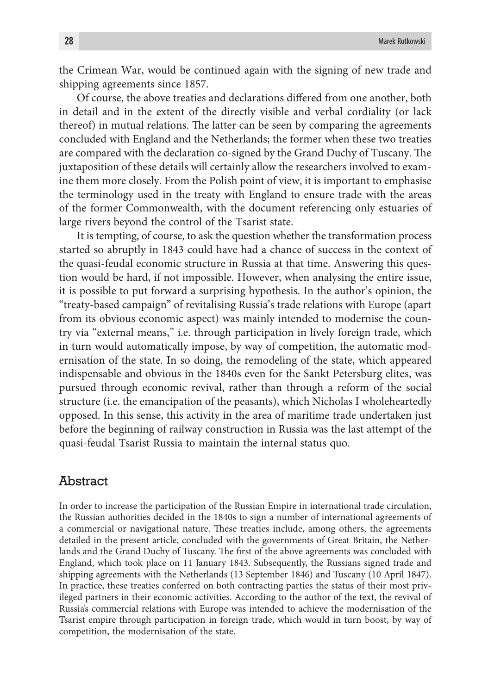the Crimean War, would be continued again with the signing of new trade and shipping agreements since 1857.

Of course, the above treaties and declarations differed from one another, both in detail and in the extent of the directly visible and verbal cordiality (or lack thereof) in mutual relations. The latter can be seen by comparing the agreements concluded with England and the Netherlands; the former when these two treaties are compared with the declaration co-signed by the Grand Duchy of Tuscany. The juxtaposition of these details will certainly allow the researchers involved to examine them more closely. From the Polish point of view, it is important to emphasise the terminology used in the treaty with England to ensure trade with the areas of the former Commonwealth, with the document referencing only estuaries of large rivers beyond the control of the Tsarist state.

It is tempting, of course, to ask the question whether the transformation process started so abruptly in 1843 could have had a chance of success in the context of the quasi-feudal economic structure in Russia at that time. Answering this question would be hard, if not impossible. However, when analysing the entire issue, it is possible to put forward a surprising hypothesis. In the author's opinion, the "treaty-based campaign" of revitalising Russia's trade relations with Europe (apart from its obvious economic aspect) was mainly intended to modernise the country via "external means," i.e. through participation in lively foreign trade, which in turn would automatically impose, by way of competition, the automatic modernisation of the state. In so doing, the remodeling of the state, which appeared indispensable and obvious in the 1840s even for the Sankt Petersburg elites, was pursued through economic revival, rather than through a reform of the social structure (i.e. the emancipation of the peasants), which Nicholas I wholeheartedly opposed. In this sense, this activity in the area of maritime trade undertaken just before the beginning of railway construction in Russia was the last attempt of the quasi-feudal Tsarist Russia to maintain the internal status quo.

### Abstract

In order to increase the participation of the Russian Empire in international trade circulation, the Russian authorities decided in the 1840s to sign a number of international agreements of a commercial or navigational nature. These treaties include, among others, the agreements detailed in the present article, concluded with the governments of Great Britain, the Netherlands and the Grand Duchy of Tuscany. The first of the above agreements was concluded with England, which took place on 11 January 1843. Subsequently, the Russians signed trade and shipping agreements with the Netherlands (13 September 1846) and Tuscany (10 April 1847). In practice, these treaties conferred on both contracting parties the status of their most privileged partners in their economic activities. According to the author of the text, the revival of Russia's commercial relations with Europe was intended to achieve the modernisation of the Tsarist empire through participation in foreign trade, which would in turn boost, by way of competition, the modernisation of the state.